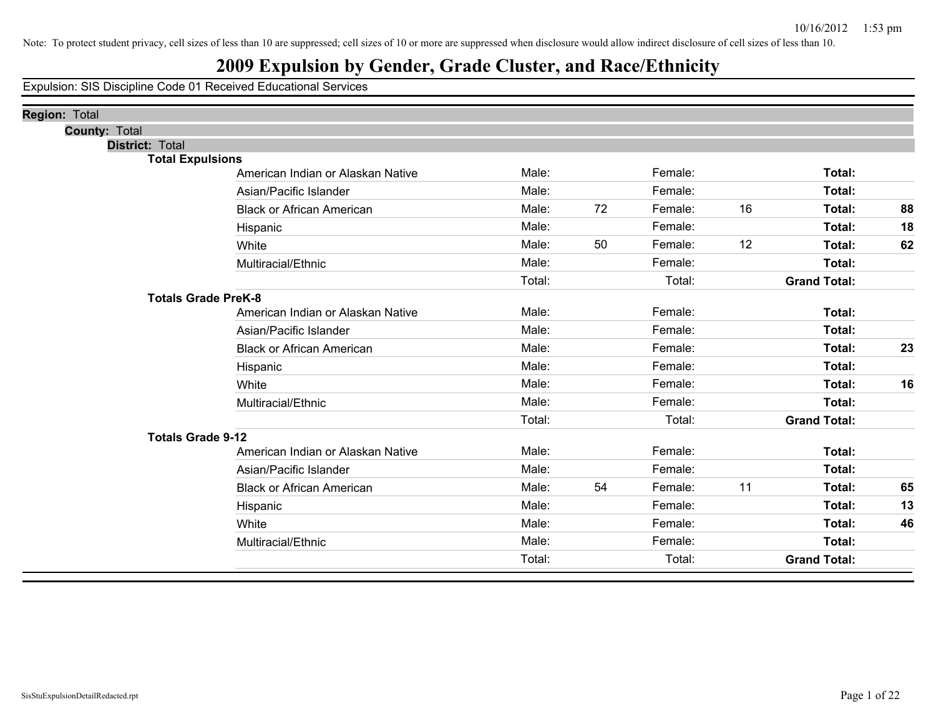### **2009 Expulsion by Gender, Grade Cluster, and Race/Ethnicity**

Expulsion: SIS Discipline Code 01 Received Educational Services

| Region: Total              |                                   |        |    |         |    |                     |    |
|----------------------------|-----------------------------------|--------|----|---------|----|---------------------|----|
| <b>County: Total</b>       |                                   |        |    |         |    |                     |    |
| <b>District: Total</b>     |                                   |        |    |         |    |                     |    |
| <b>Total Expulsions</b>    |                                   |        |    |         |    |                     |    |
|                            | American Indian or Alaskan Native | Male:  |    | Female: |    | Total:              |    |
|                            | Asian/Pacific Islander            | Male:  |    | Female: |    | Total:              |    |
|                            | <b>Black or African American</b>  | Male:  | 72 | Female: | 16 | Total:              | 88 |
|                            | Hispanic                          | Male:  |    | Female: |    | Total:              | 18 |
|                            | White                             | Male:  | 50 | Female: | 12 | Total:              | 62 |
|                            | Multiracial/Ethnic                | Male:  |    | Female: |    | Total:              |    |
|                            |                                   | Total: |    | Total:  |    | <b>Grand Total:</b> |    |
| <b>Totals Grade PreK-8</b> |                                   |        |    |         |    |                     |    |
|                            | American Indian or Alaskan Native | Male:  |    | Female: |    | Total:              |    |
|                            | Asian/Pacific Islander            | Male:  |    | Female: |    | Total:              |    |
|                            | <b>Black or African American</b>  | Male:  |    | Female: |    | Total:              | 23 |
|                            | Hispanic                          | Male:  |    | Female: |    | Total:              |    |
|                            | White                             | Male:  |    | Female: |    | Total:              | 16 |
|                            | Multiracial/Ethnic                | Male:  |    | Female: |    | Total:              |    |
|                            |                                   | Total: |    | Total:  |    | <b>Grand Total:</b> |    |
| <b>Totals Grade 9-12</b>   |                                   |        |    |         |    |                     |    |
|                            | American Indian or Alaskan Native | Male:  |    | Female: |    | Total:              |    |
|                            | Asian/Pacific Islander            | Male:  |    | Female: |    | Total:              |    |
|                            | <b>Black or African American</b>  | Male:  | 54 | Female: | 11 | Total:              | 65 |
|                            | Hispanic                          | Male:  |    | Female: |    | <b>Total:</b>       | 13 |
|                            | White                             | Male:  |    | Female: |    | Total:              | 46 |
|                            | Multiracial/Ethnic                | Male:  |    | Female: |    | Total:              |    |
|                            |                                   | Total: |    | Total:  |    | <b>Grand Total:</b> |    |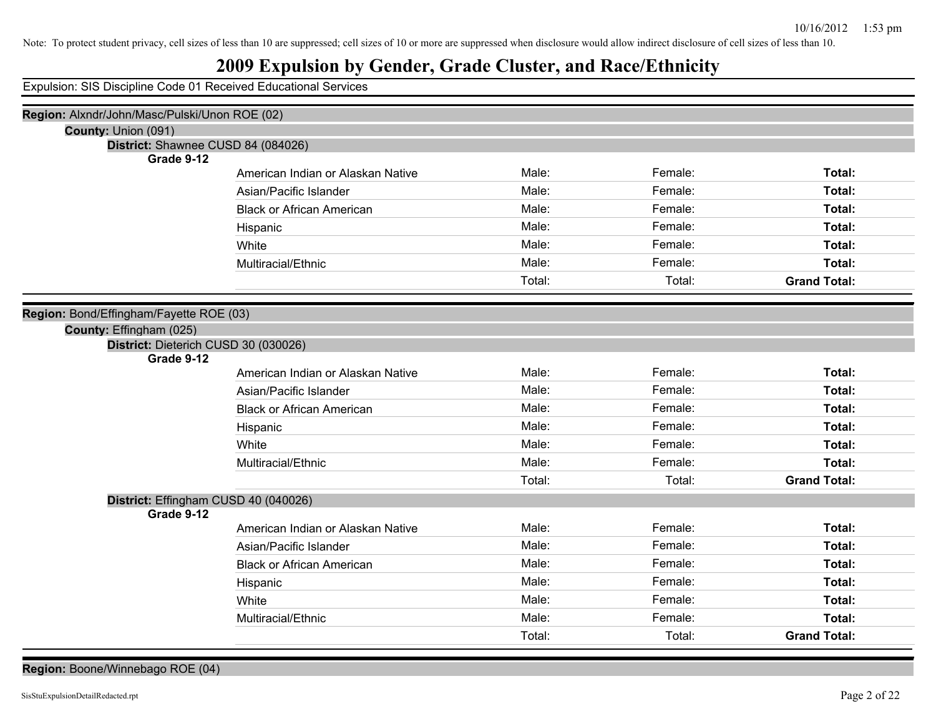### **2009 Expulsion by Gender, Grade Cluster, and Race/Ethnicity**

Expulsion: SIS Discipline Code 01 Received Educational Services

| Region: Alxndr/John/Masc/Pulski/Unon ROE (02)      |                                   |        |         |                     |
|----------------------------------------------------|-----------------------------------|--------|---------|---------------------|
| County: Union (091)                                |                                   |        |         |                     |
| District: Shawnee CUSD 84 (084026)                 |                                   |        |         |                     |
| Grade 9-12                                         |                                   |        |         |                     |
|                                                    | American Indian or Alaskan Native | Male:  | Female: | Total:              |
|                                                    | Asian/Pacific Islander            | Male:  | Female: | Total:              |
|                                                    | <b>Black or African American</b>  | Male:  | Female: | Total:              |
|                                                    | Hispanic                          | Male:  | Female: | Total:              |
|                                                    | White                             | Male:  | Female: | Total:              |
|                                                    | Multiracial/Ethnic                | Male:  | Female: | Total:              |
|                                                    |                                   | Total: | Total:  | <b>Grand Total:</b> |
|                                                    |                                   |        |         |                     |
| Region: Bond/Effingham/Fayette ROE (03)            |                                   |        |         |                     |
| County: Effingham (025)                            |                                   |        |         |                     |
| District: Dieterich CUSD 30 (030026)<br>Grade 9-12 |                                   |        |         |                     |
|                                                    | American Indian or Alaskan Native | Male:  | Female: | Total:              |
|                                                    | Asian/Pacific Islander            | Male:  | Female: | Total:              |
|                                                    | <b>Black or African American</b>  | Male:  | Female: | Total:              |
|                                                    | Hispanic                          | Male:  | Female: | Total:              |
|                                                    | White                             | Male:  | Female: | Total:              |
|                                                    | Multiracial/Ethnic                | Male:  | Female: | Total:              |
|                                                    |                                   | Total: | Total:  | <b>Grand Total:</b> |
| District: Effingham CUSD 40 (040026)               |                                   |        |         |                     |
| Grade 9-12                                         |                                   |        |         |                     |
|                                                    | American Indian or Alaskan Native | Male:  | Female: | Total:              |
|                                                    | Asian/Pacific Islander            | Male:  | Female: | Total:              |
|                                                    | <b>Black or African American</b>  | Male:  | Female: | Total:              |
|                                                    | Hispanic                          | Male:  | Female: | Total:              |
|                                                    | White                             | Male:  | Female: | Total:              |
|                                                    | Multiracial/Ethnic                | Male:  | Female: | Total:              |
|                                                    |                                   | Total: | Total:  | <b>Grand Total:</b> |

**Region:** Boone/Winnebago ROE (04)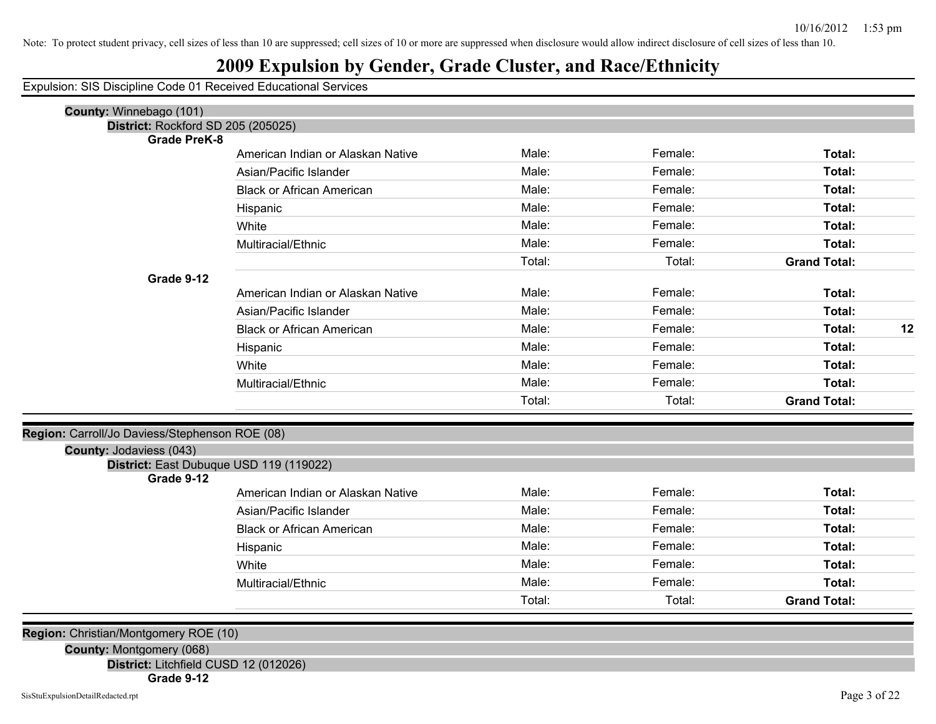### **2009 Expulsion by Gender, Grade Cluster, and Race/Ethnicity**

Expulsion: SIS Discipline Code 01 Received Educational Services

| County: Winnebago (101)                        |                                   |        |         |                     |    |
|------------------------------------------------|-----------------------------------|--------|---------|---------------------|----|
| District: Rockford SD 205 (205025)             |                                   |        |         |                     |    |
| <b>Grade PreK-8</b>                            |                                   | Male:  | Female: | Total:              |    |
|                                                | American Indian or Alaskan Native |        |         |                     |    |
|                                                | Asian/Pacific Islander            | Male:  | Female: | Total:              |    |
|                                                | <b>Black or African American</b>  | Male:  | Female: | Total:              |    |
|                                                | Hispanic                          | Male:  | Female: | Total:              |    |
|                                                | White                             | Male:  | Female: | Total:              |    |
|                                                | Multiracial/Ethnic                | Male:  | Female: | Total:              |    |
|                                                |                                   | Total: | Total:  | <b>Grand Total:</b> |    |
| Grade 9-12                                     |                                   |        |         |                     |    |
|                                                | American Indian or Alaskan Native | Male:  | Female: | Total:              |    |
|                                                | Asian/Pacific Islander            | Male:  | Female: | Total:              |    |
|                                                | <b>Black or African American</b>  | Male:  | Female: | Total:              | 12 |
|                                                | Hispanic                          | Male:  | Female: | Total:              |    |
|                                                | White                             | Male:  | Female: | Total:              |    |
|                                                | Multiracial/Ethnic                | Male:  | Female: | Total:              |    |
|                                                |                                   | Total: | Total:  | <b>Grand Total:</b> |    |
| Region: Carroll/Jo Daviess/Stephenson ROE (08) |                                   |        |         |                     |    |
| <b>County: Jodaviess (043)</b>                 |                                   |        |         |                     |    |
| District: East Dubuque USD 119 (119022)        |                                   |        |         |                     |    |
| Grade 9-12                                     | American Indian or Alaskan Native | Male:  | Female: | Total:              |    |
|                                                | Asian/Pacific Islander            | Male:  | Female: | Total:              |    |
|                                                | <b>Black or African American</b>  | Male:  | Female: | Total:              |    |
|                                                |                                   | Male:  | Female: |                     |    |
|                                                | Hispanic                          |        |         | Total:              |    |
|                                                | White                             | Male:  | Female: | Total:              |    |
|                                                | Multiracial/Ethnic                | Male:  | Female: | Total:              |    |
|                                                |                                   | Total: | Total:  | <b>Grand Total:</b> |    |
| Region: Christian/Montgomery ROE (10)          |                                   |        |         |                     |    |
| $\Omega$ = === t == M = = t = === = = (0.00)   |                                   |        |         |                     |    |

**County:** Montgomery (068)

**District:** Litchfield CUSD 12 (012026)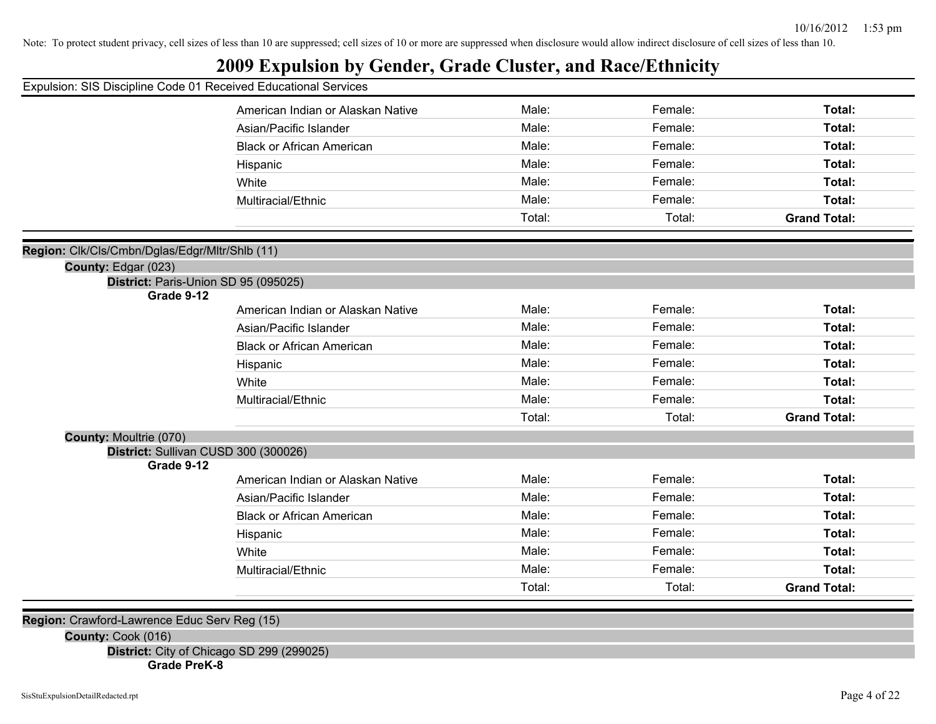### **2009 Expulsion by Gender, Grade Cluster, and Race/Ethnicity**

| Expulsion: SIS Discipline Code 01 Received Educational Services |                                   |        |         |                     |
|-----------------------------------------------------------------|-----------------------------------|--------|---------|---------------------|
|                                                                 | American Indian or Alaskan Native | Male:  | Female: | Total:              |
|                                                                 | Asian/Pacific Islander            | Male:  | Female: | Total:              |
|                                                                 | <b>Black or African American</b>  | Male:  | Female: | Total:              |
|                                                                 | Hispanic                          | Male:  | Female: | Total:              |
|                                                                 | White                             | Male:  | Female: | Total:              |
|                                                                 | Multiracial/Ethnic                | Male:  | Female: | Total:              |
|                                                                 |                                   | Total: | Total:  | <b>Grand Total:</b> |
| Region: Clk/Cls/Cmbn/Dglas/Edgr/Mltr/Shlb (11)                  |                                   |        |         |                     |
| County: Edgar (023)                                             |                                   |        |         |                     |
| District: Paris-Union SD 95 (095025)                            |                                   |        |         |                     |
| Grade 9-12                                                      |                                   |        |         |                     |
|                                                                 | American Indian or Alaskan Native | Male:  | Female: | Total:              |
|                                                                 | Asian/Pacific Islander            | Male:  | Female: | Total:              |
|                                                                 | <b>Black or African American</b>  | Male:  | Female: | Total:              |
|                                                                 | Hispanic                          | Male:  | Female: | Total:              |
|                                                                 | White                             | Male:  | Female: | Total:              |
|                                                                 | Multiracial/Ethnic                | Male:  | Female: | Total:              |
|                                                                 |                                   | Total: | Total:  | <b>Grand Total:</b> |
| <b>County: Moultrie (070)</b>                                   |                                   |        |         |                     |
| District: Sullivan CUSD 300 (300026)                            |                                   |        |         |                     |
| Grade 9-12                                                      | American Indian or Alaskan Native | Male:  | Female: | Total:              |
|                                                                 | Asian/Pacific Islander            | Male:  | Female: | Total:              |
|                                                                 | <b>Black or African American</b>  | Male:  | Female: | Total:              |
|                                                                 |                                   | Male:  |         |                     |
|                                                                 | Hispanic                          |        | Female: | Total:              |
|                                                                 | White                             | Male:  | Female: | Total:              |
|                                                                 | Multiracial/Ethnic                | Male:  | Female: | Total:              |
|                                                                 |                                   | Total: | Total:  | <b>Grand Total:</b> |
| Region: Crawford-Lawrence Educ Serv Reg (15)                    |                                   |        |         |                     |

**County:** Cook (016)

**District:** City of Chicago SD 299 (299025)

**Grade PreK-8**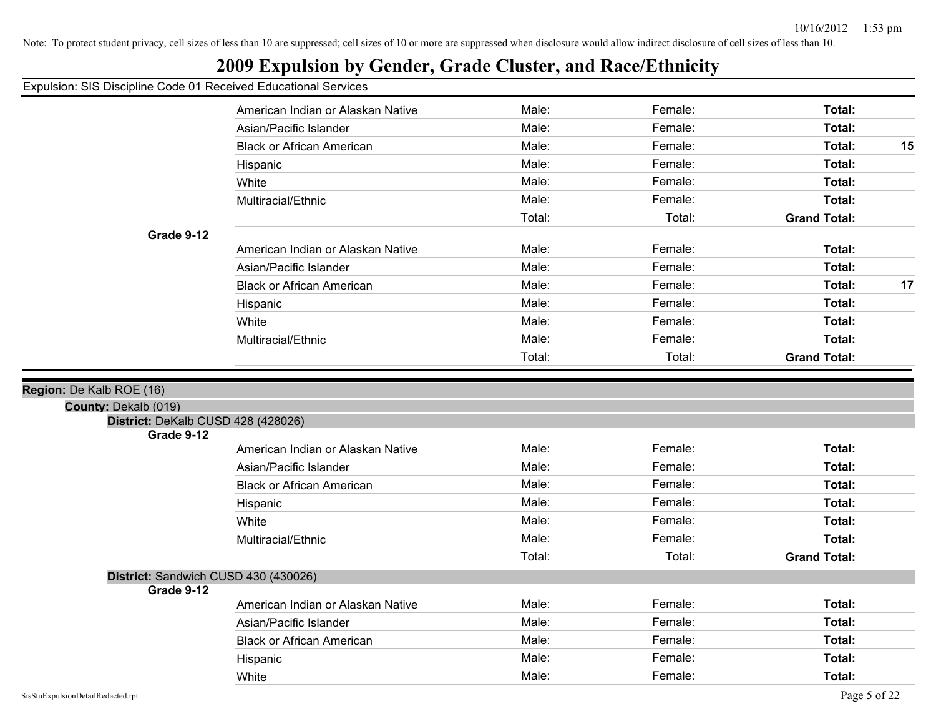### **2009 Expulsion by Gender, Grade Cluster, and Race/Ethnicity**

Expulsion: SIS Discipline Code 01 Received Educational Services

|                                                            | American Indian or Alaskan Native | Male:  | Female: | Total:              |    |
|------------------------------------------------------------|-----------------------------------|--------|---------|---------------------|----|
|                                                            | Asian/Pacific Islander            | Male:  | Female: | Total:              |    |
|                                                            | <b>Black or African American</b>  | Male:  | Female: | Total:              | 15 |
|                                                            | Hispanic                          | Male:  | Female: | Total:              |    |
|                                                            | White                             | Male:  | Female: | Total:              |    |
|                                                            | Multiracial/Ethnic                | Male:  | Female: | Total:              |    |
|                                                            |                                   | Total: | Total:  | <b>Grand Total:</b> |    |
| Grade 9-12                                                 |                                   |        |         |                     |    |
|                                                            | American Indian or Alaskan Native | Male:  | Female: | Total:              |    |
|                                                            | Asian/Pacific Islander            | Male:  | Female: | Total:              |    |
|                                                            | <b>Black or African American</b>  | Male:  | Female: | Total:              | 17 |
|                                                            | Hispanic                          | Male:  | Female: | Total:              |    |
|                                                            | White                             | Male:  | Female: | Total:              |    |
|                                                            | Multiracial/Ethnic                | Male:  | Female: | Total:              |    |
|                                                            |                                   | Total: | Total:  | <b>Grand Total:</b> |    |
|                                                            |                                   |        |         |                     |    |
| Region: De Kalb ROE (16)                                   |                                   |        |         |                     |    |
| County: Dekalb (019)<br>District: DeKalb CUSD 428 (428026) |                                   |        |         |                     |    |
| Grade 9-12                                                 |                                   |        |         |                     |    |
|                                                            | American Indian or Alaskan Native | Male:  | Female: | Total:              |    |
|                                                            | Asian/Pacific Islander            | Male:  | Female: | Total:              |    |
|                                                            | <b>Black or African American</b>  | Male:  | Female: | Total:              |    |
|                                                            | Hispanic                          | Male:  | Female: | Total:              |    |
|                                                            | White                             | Male:  | Female: | Total:              |    |
|                                                            | Multiracial/Ethnic                | Male:  | Female: | Total:              |    |
|                                                            |                                   | Total: | Total:  | <b>Grand Total:</b> |    |
| District: Sandwich CUSD 430 (430026)                       |                                   |        |         |                     |    |
| Grade 9-12                                                 |                                   |        |         |                     |    |
|                                                            | American Indian or Alaskan Native | Male:  | Female: | Total:              |    |
|                                                            | Asian/Pacific Islander            | Male:  | Female: | Total:              |    |
|                                                            | <b>Black or African American</b>  | Male:  | Female: | Total:              |    |
|                                                            | Hispanic                          | Male:  | Female: | Total:              |    |
|                                                            | White                             | Male:  | Female: | Total:              |    |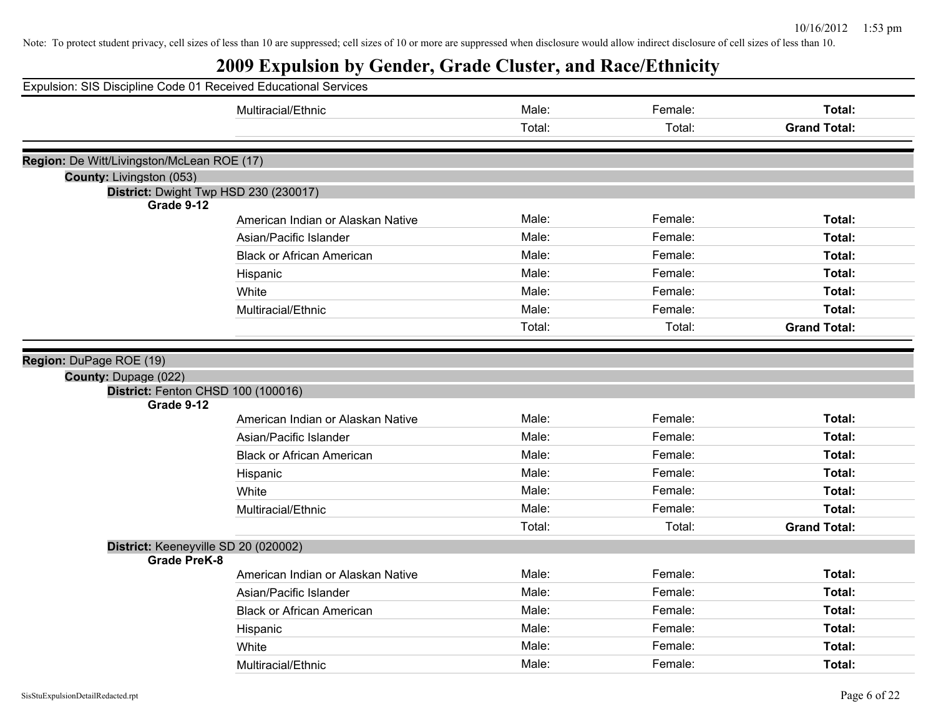| Expulsion: SIS Discipline Code 01 Received Educational Services |                                       |        |         |                     |
|-----------------------------------------------------------------|---------------------------------------|--------|---------|---------------------|
|                                                                 | Multiracial/Ethnic                    | Male:  | Female: | Total:              |
|                                                                 |                                       | Total: | Total:  | <b>Grand Total:</b> |
|                                                                 |                                       |        |         |                     |
| Region: De Witt/Livingston/McLean ROE (17)                      |                                       |        |         |                     |
| County: Livingston (053)                                        |                                       |        |         |                     |
| Grade 9-12                                                      | District: Dwight Twp HSD 230 (230017) |        |         |                     |
|                                                                 | American Indian or Alaskan Native     | Male:  | Female: | Total:              |
|                                                                 | Asian/Pacific Islander                | Male:  | Female: | Total:              |
|                                                                 | <b>Black or African American</b>      | Male:  | Female: | Total:              |
|                                                                 | Hispanic                              | Male:  | Female: | Total:              |
|                                                                 | White                                 | Male:  | Female: | Total:              |
|                                                                 | Multiracial/Ethnic                    | Male:  | Female: | Total:              |
|                                                                 |                                       | Total: | Total:  | <b>Grand Total:</b> |
|                                                                 |                                       |        |         |                     |
| Region: DuPage ROE (19)                                         |                                       |        |         |                     |
| County: Dupage (022)                                            |                                       |        |         |                     |
| District: Fenton CHSD 100 (100016)<br>Grade 9-12                |                                       |        |         |                     |
|                                                                 | American Indian or Alaskan Native     | Male:  | Female: | Total:              |
|                                                                 | Asian/Pacific Islander                | Male:  | Female: | Total:              |
|                                                                 | <b>Black or African American</b>      | Male:  | Female: | Total:              |
|                                                                 | Hispanic                              | Male:  | Female: | Total:              |
|                                                                 | White                                 | Male:  | Female: | Total:              |
|                                                                 | Multiracial/Ethnic                    | Male:  | Female: | Total:              |
|                                                                 |                                       | Total: | Total:  | <b>Grand Total:</b> |
| District: Keeneyville SD 20 (020002)                            |                                       |        |         |                     |
| <b>Grade PreK-8</b>                                             |                                       |        |         |                     |
|                                                                 | American Indian or Alaskan Native     | Male:  | Female: | Total:              |
|                                                                 | Asian/Pacific Islander                | Male:  | Female: | Total:              |
|                                                                 | <b>Black or African American</b>      | Male:  | Female: | Total:              |
|                                                                 | Hispanic                              | Male:  | Female: | Total:              |
|                                                                 | White                                 | Male:  | Female: | Total:              |
|                                                                 | Multiracial/Ethnic                    | Male:  | Female: | Total:              |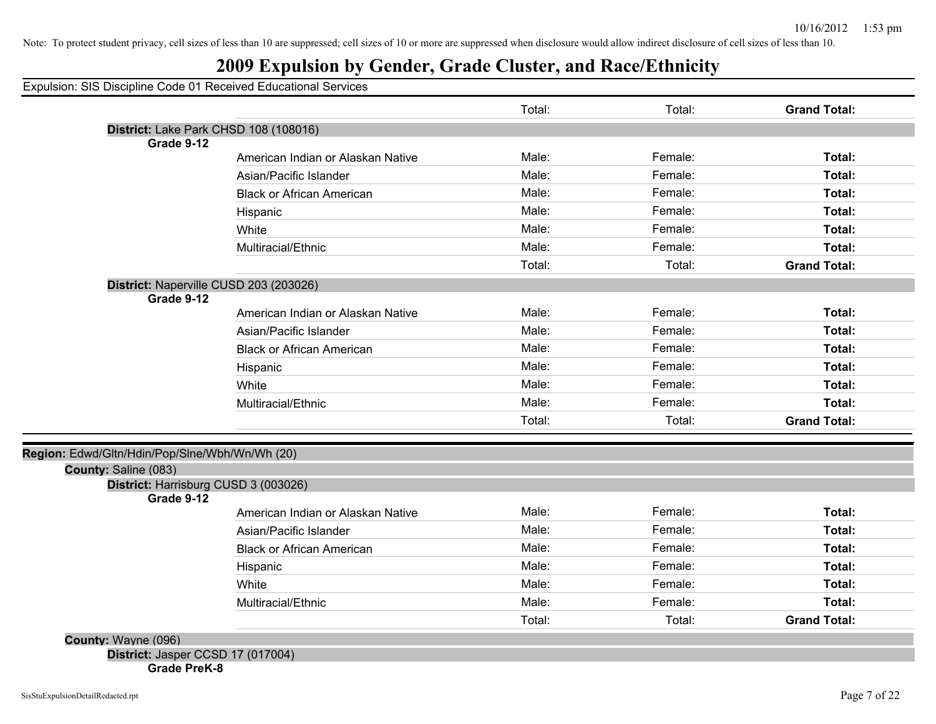### **2009 Expulsion by Gender, Grade Cluster, and Race/Ethnicity**

Expulsion: SIS Discipline Code 01 Received Educational Services

|                                                                        |                                        | Total: | Total:  | <b>Grand Total:</b> |
|------------------------------------------------------------------------|----------------------------------------|--------|---------|---------------------|
|                                                                        | District: Lake Park CHSD 108 (108016)  |        |         |                     |
| Grade 9-12                                                             |                                        |        |         |                     |
|                                                                        | American Indian or Alaskan Native      | Male:  | Female: | Total:              |
|                                                                        | Asian/Pacific Islander                 | Male:  | Female: | Total:              |
|                                                                        | <b>Black or African American</b>       | Male:  | Female: | Total:              |
|                                                                        | Hispanic                               | Male:  | Female: | Total:              |
|                                                                        | White                                  | Male:  | Female: | Total:              |
|                                                                        | Multiracial/Ethnic                     | Male:  | Female: | Total:              |
|                                                                        |                                        | Total: | Total:  | <b>Grand Total:</b> |
|                                                                        | District: Naperville CUSD 203 (203026) |        |         |                     |
| Grade 9-12                                                             |                                        |        |         |                     |
|                                                                        | American Indian or Alaskan Native      | Male:  | Female: | Total:              |
|                                                                        | Asian/Pacific Islander                 | Male:  | Female: | Total:              |
|                                                                        | <b>Black or African American</b>       | Male:  | Female: | Total:              |
|                                                                        | Hispanic                               | Male:  | Female: | Total:              |
|                                                                        | White                                  | Male:  | Female: | Total:              |
|                                                                        | Multiracial/Ethnic                     | Male:  | Female: | Total:              |
|                                                                        |                                        | Total: | Total:  | <b>Grand Total:</b> |
|                                                                        |                                        |        |         |                     |
| Region: Edwd/Gltn/Hdin/Pop/Slne/Wbh/Wn/Wh (20)<br>County: Saline (083) |                                        |        |         |                     |
|                                                                        | District: Harrisburg CUSD 3 (003026)   |        |         |                     |
| Grade 9-12                                                             |                                        |        |         |                     |
|                                                                        | American Indian or Alaskan Native      | Male:  | Female: | Total:              |
|                                                                        | Asian/Pacific Islander                 | Male:  | Female: | Total:              |
|                                                                        | <b>Black or African American</b>       | Male:  | Female: | Total:              |
|                                                                        | Hispanic                               | Male:  | Female: | Total:              |
|                                                                        | White                                  | Male:  | Female: | Total:              |
|                                                                        | Multiracial/Ethnic                     | Male:  | Female: | Total:              |
|                                                                        |                                        | Total: | Total:  | <b>Grand Total:</b> |
| County: Wayne (096)                                                    |                                        |        |         |                     |
| District: Jasper CCSD 17 (017004)                                      |                                        |        |         |                     |

**Grade PreK-8**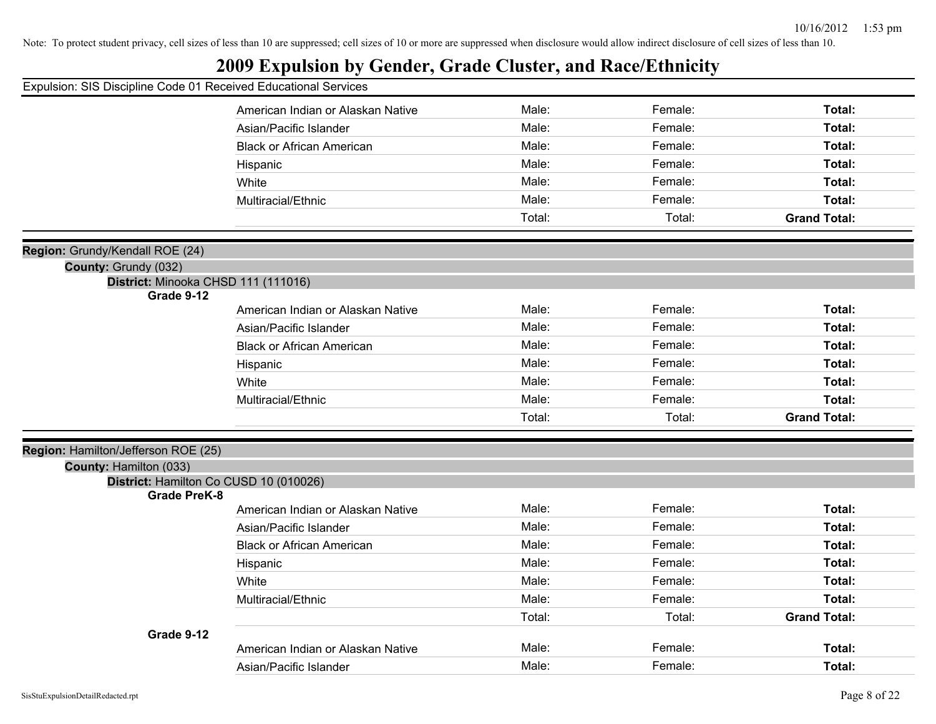|                                                                 | ູ                                 |        |         |                     |
|-----------------------------------------------------------------|-----------------------------------|--------|---------|---------------------|
| Expulsion: SIS Discipline Code 01 Received Educational Services |                                   |        |         |                     |
|                                                                 | American Indian or Alaskan Native | Male:  | Female: | Total:              |
|                                                                 | Asian/Pacific Islander            | Male:  | Female: | Total:              |
|                                                                 | <b>Black or African American</b>  | Male:  | Female: | Total:              |
|                                                                 | Hispanic                          | Male:  | Female: | Total:              |
|                                                                 | White                             | Male:  | Female: | Total:              |
|                                                                 | Multiracial/Ethnic                | Male:  | Female: | Total:              |
|                                                                 |                                   | Total: | Total:  | <b>Grand Total:</b> |
|                                                                 |                                   |        |         |                     |
| Region: Grundy/Kendall ROE (24)                                 |                                   |        |         |                     |
| County: Grundy (032)<br>District: Minooka CHSD 111 (111016)     |                                   |        |         |                     |
| Grade 9-12                                                      |                                   |        |         |                     |
|                                                                 | American Indian or Alaskan Native | Male:  | Female: | Total:              |
|                                                                 | Asian/Pacific Islander            | Male:  | Female: | Total:              |
|                                                                 | <b>Black or African American</b>  | Male:  | Female: | Total:              |
|                                                                 | Hispanic                          | Male:  | Female: | Total:              |
|                                                                 | White                             | Male:  | Female: | Total:              |
|                                                                 | Multiracial/Ethnic                | Male:  | Female: | Total:              |
|                                                                 |                                   | Total: | Total:  | <b>Grand Total:</b> |
|                                                                 |                                   |        |         |                     |
| Region: Hamilton/Jefferson ROE (25)<br>County: Hamilton (033)   |                                   |        |         |                     |
| District: Hamilton Co CUSD 10 (010026)                          |                                   |        |         |                     |
| <b>Grade PreK-8</b>                                             |                                   |        |         |                     |
|                                                                 | American Indian or Alaskan Native | Male:  | Female: | Total:              |
|                                                                 | Asian/Pacific Islander            | Male:  | Female: | Total:              |
|                                                                 | <b>Black or African American</b>  | Male:  | Female: | Total:              |
|                                                                 | Hispanic                          | Male:  | Female: | Total:              |
|                                                                 | White                             | Male:  | Female: | Total:              |
|                                                                 | Multiracial/Ethnic                | Male:  | Female: | Total:              |
|                                                                 |                                   | Total: | Total:  | <b>Grand Total:</b> |
| Grade 9-12                                                      |                                   |        |         |                     |
|                                                                 | American Indian or Alaskan Native | Male:  | Female: | Total:              |
|                                                                 | Asian/Pacific Islander            | Male:  | Female: | Total:              |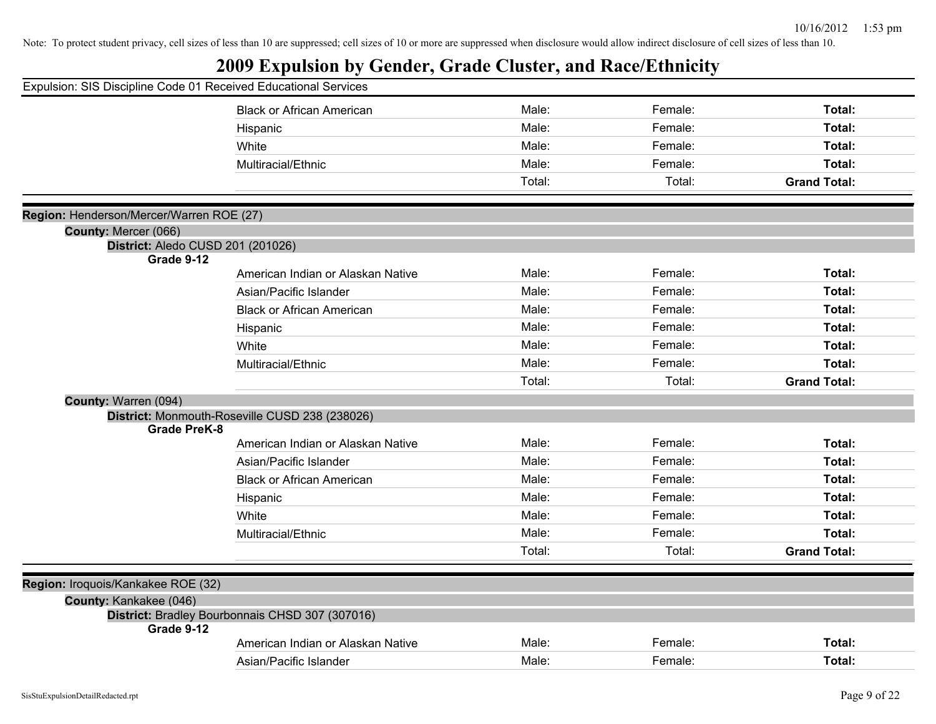|                                          | Expulsion: SIS Discipline Code 01 Received Educational Services |        |         |                     |
|------------------------------------------|-----------------------------------------------------------------|--------|---------|---------------------|
|                                          | <b>Black or African American</b>                                | Male:  | Female: | Total:              |
|                                          | Hispanic                                                        | Male:  | Female: | Total:              |
|                                          | White                                                           | Male:  | Female: | Total:              |
|                                          | Multiracial/Ethnic                                              | Male:  | Female: | Total:              |
|                                          |                                                                 | Total: | Total:  | <b>Grand Total:</b> |
| Region: Henderson/Mercer/Warren ROE (27) |                                                                 |        |         |                     |
| County: Mercer (066)                     |                                                                 |        |         |                     |
|                                          | District: Aledo CUSD 201 (201026)                               |        |         |                     |
| Grade 9-12                               |                                                                 |        |         |                     |
|                                          | American Indian or Alaskan Native                               | Male:  | Female: | Total:              |
|                                          | Asian/Pacific Islander                                          | Male:  | Female: | Total:              |
|                                          | <b>Black or African American</b>                                | Male:  | Female: | Total:              |
|                                          | Hispanic                                                        | Male:  | Female: | Total:              |
|                                          | White                                                           | Male:  | Female: | Total:              |
|                                          | Multiracial/Ethnic                                              | Male:  | Female: | Total:              |
|                                          |                                                                 | Total: | Total:  | <b>Grand Total:</b> |
| County: Warren (094)                     |                                                                 |        |         |                     |
|                                          | District: Monmouth-Roseville CUSD 238 (238026)                  |        |         |                     |
| <b>Grade PreK-8</b>                      |                                                                 |        |         |                     |
|                                          | American Indian or Alaskan Native                               | Male:  | Female: | Total:              |
|                                          | Asian/Pacific Islander                                          | Male:  | Female: | Total:              |
|                                          | <b>Black or African American</b>                                | Male:  | Female: | Total:              |
|                                          | Hispanic                                                        | Male:  | Female: | Total:              |
|                                          | White                                                           | Male:  | Female: | Total:              |
|                                          | Multiracial/Ethnic                                              | Male:  | Female: | Total:              |
|                                          |                                                                 | Total: | Total:  | <b>Grand Total:</b> |
| Region: Iroquois/Kankakee ROE (32)       |                                                                 |        |         |                     |
| County: Kankakee (046)                   |                                                                 |        |         |                     |
|                                          | District: Bradley Bourbonnais CHSD 307 (307016)                 |        |         |                     |
| Grade 9-12                               |                                                                 |        |         |                     |
|                                          | American Indian or Alaskan Native                               | Male:  | Female: | Total:              |
|                                          | Asian/Pacific Islander                                          | Male:  | Female: | Total:              |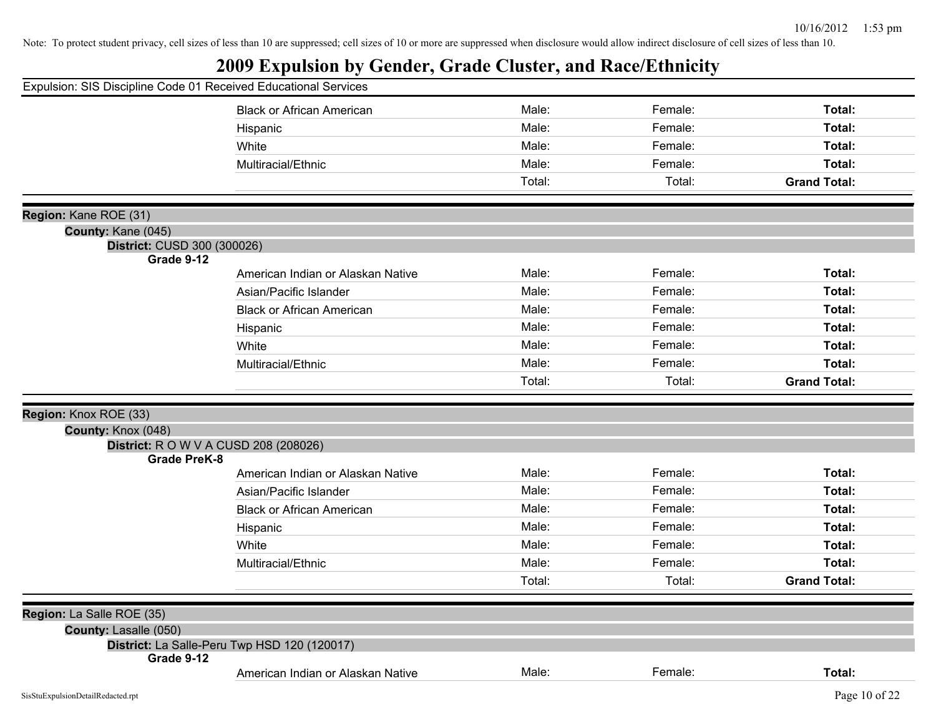|                                                             | Expulsion: SIS Discipline Code 01 Received Educational Services |        |         |                     |
|-------------------------------------------------------------|-----------------------------------------------------------------|--------|---------|---------------------|
|                                                             | <b>Black or African American</b>                                | Male:  | Female: | Total:              |
|                                                             | Hispanic                                                        | Male:  | Female: | Total:              |
| White                                                       |                                                                 | Male:  | Female: | Total:              |
|                                                             | Multiracial/Ethnic                                              | Male:  | Female: | Total:              |
|                                                             |                                                                 | Total: | Total:  | <b>Grand Total:</b> |
|                                                             |                                                                 |        |         |                     |
| Region: Kane ROE (31)                                       |                                                                 |        |         |                     |
| County: Kane (045)<br>District: CUSD 300 (300026)           |                                                                 |        |         |                     |
| Grade 9-12                                                  |                                                                 |        |         |                     |
|                                                             | American Indian or Alaskan Native                               | Male:  | Female: | Total:              |
|                                                             | Asian/Pacific Islander                                          | Male:  | Female: | Total:              |
|                                                             | <b>Black or African American</b>                                | Male:  | Female: | Total:              |
|                                                             | Hispanic                                                        | Male:  | Female: | Total:              |
| White                                                       |                                                                 | Male:  | Female: | Total:              |
|                                                             | Multiracial/Ethnic                                              | Male:  | Female: | Total:              |
|                                                             |                                                                 | Total: | Total:  | <b>Grand Total:</b> |
|                                                             |                                                                 |        |         |                     |
| Region: Knox ROE (33)                                       |                                                                 |        |         |                     |
| County: Knox (048)<br>District: R O W V A CUSD 208 (208026) |                                                                 |        |         |                     |
| <b>Grade PreK-8</b>                                         |                                                                 |        |         |                     |
|                                                             |                                                                 |        |         |                     |
|                                                             | American Indian or Alaskan Native                               | Male:  | Female: | Total:              |
|                                                             | Asian/Pacific Islander                                          | Male:  | Female: | Total:              |
|                                                             | <b>Black or African American</b>                                | Male:  | Female: | Total:              |
|                                                             | Hispanic                                                        | Male:  | Female: | Total:              |
| White                                                       |                                                                 | Male:  | Female: | Total:              |
|                                                             | Multiracial/Ethnic                                              | Male:  | Female: | Total:              |
|                                                             |                                                                 | Total: | Total:  | <b>Grand Total:</b> |
|                                                             |                                                                 |        |         |                     |
| Region: La Salle ROE (35)                                   |                                                                 |        |         |                     |
| County: Lasalle (050)                                       |                                                                 |        |         |                     |
| District: La Salle-Peru Twp HSD 120 (120017)<br>Grade 9-12  |                                                                 |        | Female: | Total:              |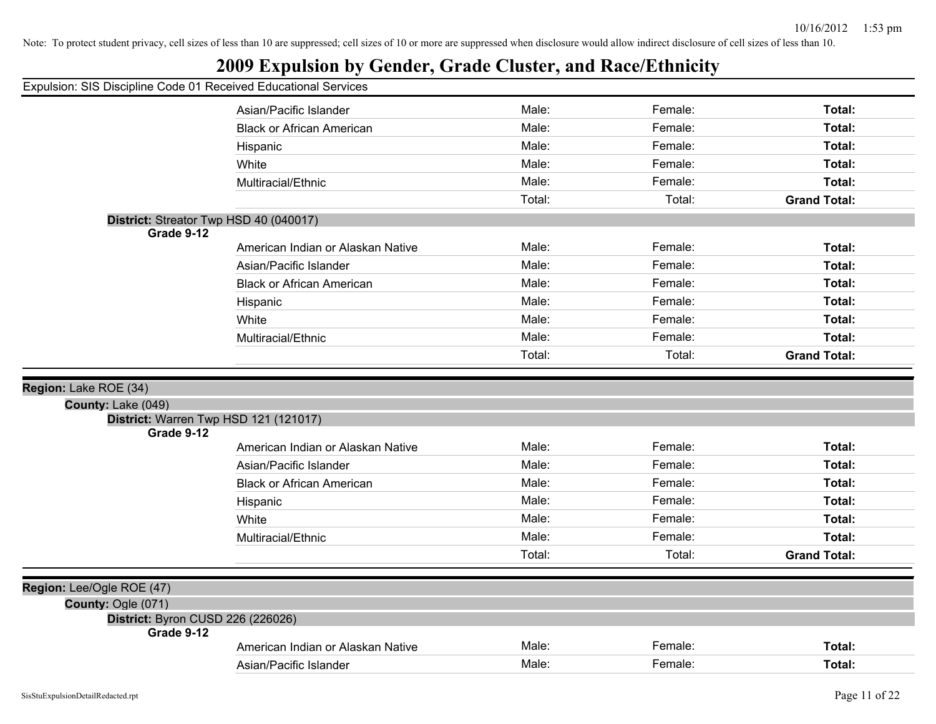| Expulsion: SIS Discipline Code 01 Received Educational Services |  |  |  |  |  |
|-----------------------------------------------------------------|--|--|--|--|--|
|-----------------------------------------------------------------|--|--|--|--|--|

| paioion: oro biooipinio obao                         |                                   |        |         |                     |
|------------------------------------------------------|-----------------------------------|--------|---------|---------------------|
|                                                      | Asian/Pacific Islander            | Male:  | Female: | Total:              |
|                                                      | <b>Black or African American</b>  | Male:  | Female: | Total:              |
|                                                      | Hispanic                          | Male:  | Female: | Total:              |
|                                                      | White                             | Male:  | Female: | Total:              |
|                                                      | Multiracial/Ethnic                | Male:  | Female: | Total:              |
|                                                      |                                   | Total: | Total:  | <b>Grand Total:</b> |
| District: Streator Twp HSD 40 (040017)<br>Grade 9-12 |                                   |        |         |                     |
|                                                      | American Indian or Alaskan Native | Male:  | Female: | Total:              |
|                                                      | Asian/Pacific Islander            | Male:  | Female: | Total:              |
|                                                      | <b>Black or African American</b>  | Male:  | Female: | Total:              |
|                                                      | Hispanic                          | Male:  | Female: | Total:              |
|                                                      | White                             | Male:  | Female: | Total:              |
|                                                      | Multiracial/Ethnic                | Male:  | Female: | Total:              |
|                                                      |                                   | Total: | Total:  | <b>Grand Total:</b> |
|                                                      |                                   |        |         |                     |
| Region: Lake ROE (34)                                |                                   |        |         |                     |
| County: Lake (049)                                   |                                   |        |         |                     |
| District: Warren Twp HSD 121 (121017)<br>Grade 9-12  |                                   |        |         |                     |
|                                                      | American Indian or Alaskan Native | Male:  | Female: | Total:              |
|                                                      | Asian/Pacific Islander            | Male:  | Female: | Total:              |
|                                                      | <b>Black or African American</b>  | Male:  | Female: | Total:              |
|                                                      | Hispanic                          | Male:  | Female: | Total:              |
|                                                      | White                             | Male:  | Female: | Total:              |
|                                                      | Multiracial/Ethnic                | Male:  | Female: | Total:              |
|                                                      |                                   | Total: | Total:  | <b>Grand Total:</b> |
|                                                      |                                   |        |         |                     |
| Region: Lee/Ogle ROE (47)                            |                                   |        |         |                     |
| County: Ogle (071)                                   |                                   |        |         |                     |
|                                                      |                                   |        |         |                     |
|                                                      | District: Byron CUSD 226 (226026) |        |         |                     |
| Grade 9-12                                           | American Indian or Alaskan Native | Male:  | Female: | Total:              |
|                                                      | Asian/Pacific Islander            | Male:  | Female: | Total:              |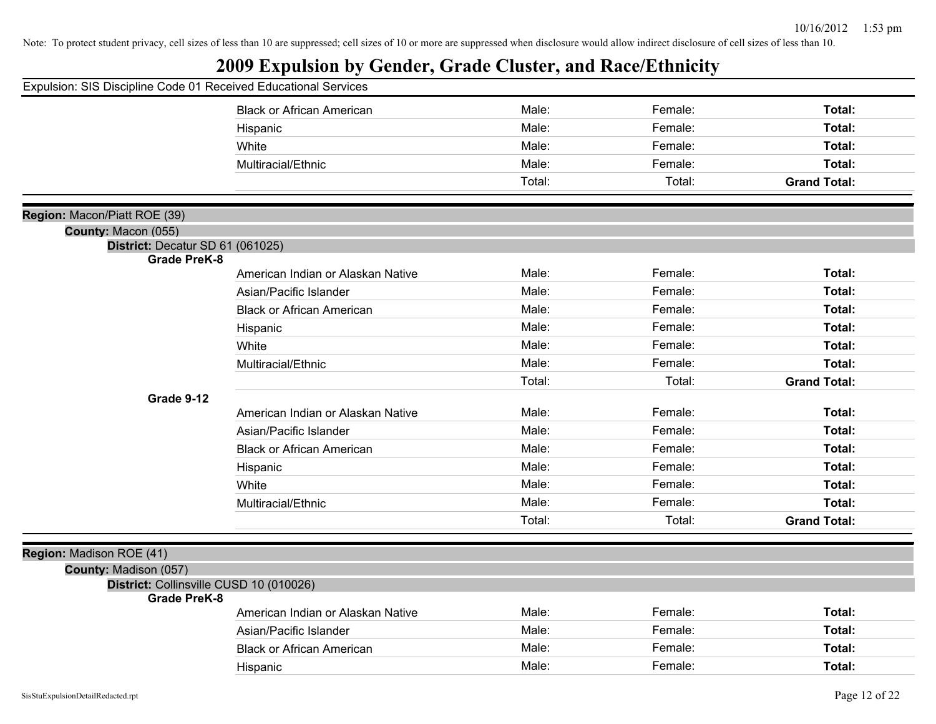| Expulsion: SIS Discipline Code 01 Received Educational Services |                                   |        |         |                     |
|-----------------------------------------------------------------|-----------------------------------|--------|---------|---------------------|
|                                                                 | <b>Black or African American</b>  | Male:  | Female: | Total:              |
|                                                                 | Hispanic                          | Male:  | Female: | Total:              |
|                                                                 | White                             | Male:  | Female: | Total:              |
|                                                                 | Multiracial/Ethnic                | Male:  | Female: | Total:              |
|                                                                 |                                   | Total: | Total:  | <b>Grand Total:</b> |
| Region: Macon/Piatt ROE (39)                                    |                                   |        |         |                     |
| County: Macon (055)                                             |                                   |        |         |                     |
| District: Decatur SD 61 (061025)                                |                                   |        |         |                     |
| <b>Grade PreK-8</b>                                             |                                   |        |         |                     |
|                                                                 | American Indian or Alaskan Native | Male:  | Female: | Total:              |
|                                                                 | Asian/Pacific Islander            | Male:  | Female: | Total:              |
|                                                                 | <b>Black or African American</b>  | Male:  | Female: | Total:              |
|                                                                 | Hispanic                          | Male:  | Female: | Total:              |
|                                                                 | White                             | Male:  | Female: | Total:              |
|                                                                 | Multiracial/Ethnic                | Male:  | Female: | Total:              |
|                                                                 |                                   | Total: | Total:  | <b>Grand Total:</b> |
| Grade 9-12                                                      |                                   |        |         |                     |
|                                                                 | American Indian or Alaskan Native | Male:  | Female: | Total:              |
|                                                                 | Asian/Pacific Islander            | Male:  | Female: | Total:              |
|                                                                 | <b>Black or African American</b>  | Male:  | Female: | Total:              |
|                                                                 | Hispanic                          | Male:  | Female: | Total:              |
|                                                                 | White                             | Male:  | Female: | Total:              |
|                                                                 | Multiracial/Ethnic                | Male:  | Female: | Total:              |
|                                                                 |                                   | Total: | Total:  | <b>Grand Total:</b> |
|                                                                 |                                   |        |         |                     |
| Region: Madison ROE (41)                                        |                                   |        |         |                     |
| County: Madison (057)                                           |                                   |        |         |                     |
| District: Collinsville CUSD 10 (010026)<br><b>Grade PreK-8</b>  |                                   |        |         |                     |
|                                                                 | American Indian or Alaskan Native | Male:  | Female: | Total:              |
|                                                                 | Asian/Pacific Islander            | Male:  | Female: | Total:              |
|                                                                 | <b>Black or African American</b>  | Male:  | Female: | Total:              |
|                                                                 | Hispanic                          | Male:  | Female: | Total:              |
|                                                                 |                                   |        |         |                     |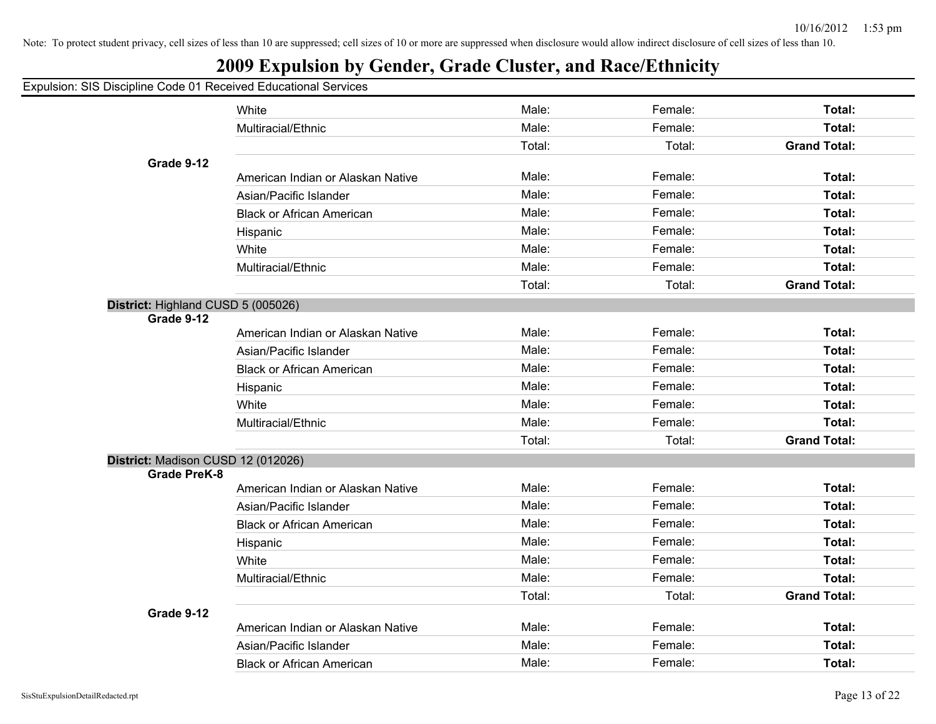### **2009 Expulsion by Gender, Grade Cluster, and Race/Ethnicity**

#### Expulsion: SIS Discipline Code 01 Received Educational Services

|                                    | White                             | Male:  | Female: | Total:              |
|------------------------------------|-----------------------------------|--------|---------|---------------------|
|                                    | Multiracial/Ethnic                | Male:  | Female: | Total:              |
|                                    |                                   | Total: | Total:  | <b>Grand Total:</b> |
| Grade 9-12                         |                                   |        |         |                     |
|                                    | American Indian or Alaskan Native | Male:  | Female: | Total:              |
|                                    | Asian/Pacific Islander            | Male:  | Female: | <b>Total:</b>       |
|                                    | <b>Black or African American</b>  | Male:  | Female: | <b>Total:</b>       |
|                                    | Hispanic                          | Male:  | Female: | <b>Total:</b>       |
|                                    | White                             | Male:  | Female: | <b>Total:</b>       |
|                                    | Multiracial/Ethnic                | Male:  | Female: | Total:              |
|                                    |                                   | Total: | Total:  | <b>Grand Total:</b> |
| District: Highland CUSD 5 (005026) |                                   |        |         |                     |
| Grade 9-12                         |                                   | Male:  | Female: | Total:              |
|                                    | American Indian or Alaskan Native |        |         |                     |
|                                    | Asian/Pacific Islander            | Male:  | Female: | <b>Total:</b>       |
|                                    | <b>Black or African American</b>  | Male:  | Female: | <b>Total:</b>       |
|                                    | Hispanic                          | Male:  | Female: | Total:              |
|                                    | White                             | Male:  | Female: | <b>Total:</b>       |
|                                    | Multiracial/Ethnic                | Male:  | Female: | <b>Total:</b>       |
|                                    |                                   | Total: | Total:  | <b>Grand Total:</b> |
| District: Madison CUSD 12 (012026) |                                   |        |         |                     |
| <b>Grade PreK-8</b>                | American Indian or Alaskan Native | Male:  | Female: | Total:              |
|                                    | Asian/Pacific Islander            | Male:  | Female: | <b>Total:</b>       |
|                                    | <b>Black or African American</b>  | Male:  | Female: | <b>Total:</b>       |
|                                    |                                   | Male:  | Female: | <b>Total:</b>       |
|                                    | Hispanic<br>White                 | Male:  | Female: | <b>Total:</b>       |
|                                    | Multiracial/Ethnic                | Male:  | Female: | Total:              |
|                                    |                                   | Total: | Total:  | <b>Grand Total:</b> |
| Grade 9-12                         |                                   |        |         |                     |
|                                    | American Indian or Alaskan Native | Male:  | Female: | Total:              |
|                                    | Asian/Pacific Islander            | Male:  | Female: | <b>Total:</b>       |
|                                    | <b>Black or African American</b>  | Male:  | Female: | Total:              |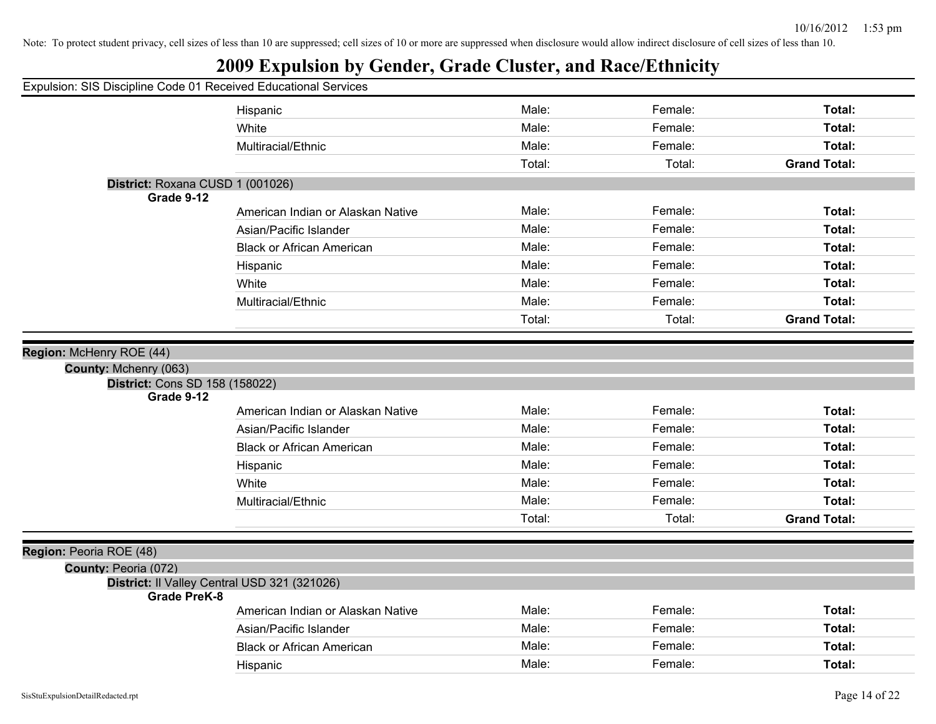| Expulsion: SIS Discipline Code 01 Received Educational Services     |                                   |        |         |                     |
|---------------------------------------------------------------------|-----------------------------------|--------|---------|---------------------|
|                                                                     | Hispanic                          | Male:  | Female: | Total:              |
|                                                                     | White                             | Male:  | Female: | Total:              |
|                                                                     | Multiracial/Ethnic                | Male:  | Female: | Total:              |
|                                                                     |                                   | Total: | Total:  | <b>Grand Total:</b> |
| District: Roxana CUSD 1 (001026)                                    |                                   |        |         |                     |
| Grade 9-12                                                          | American Indian or Alaskan Native | Male:  | Female: | Total:              |
|                                                                     |                                   | Male:  | Female: |                     |
|                                                                     | Asian/Pacific Islander            |        |         | Total:              |
|                                                                     | <b>Black or African American</b>  | Male:  | Female: | Total:              |
|                                                                     | Hispanic                          | Male:  | Female: | Total:              |
|                                                                     | White                             | Male:  | Female: | Total:              |
|                                                                     | Multiracial/Ethnic                | Male:  | Female: | Total:              |
|                                                                     |                                   | Total: | Total:  | <b>Grand Total:</b> |
|                                                                     |                                   |        |         |                     |
| Region: McHenry ROE (44)                                            |                                   |        |         |                     |
| County: Mchenry (063)<br>District: Cons SD 158 (158022)             |                                   |        |         |                     |
| Grade 9-12                                                          |                                   |        |         |                     |
|                                                                     | American Indian or Alaskan Native | Male:  | Female: | Total:              |
|                                                                     | Asian/Pacific Islander            | Male:  | Female: | Total:              |
|                                                                     | <b>Black or African American</b>  | Male:  | Female: | Total:              |
|                                                                     | Hispanic                          | Male:  | Female: | Total:              |
|                                                                     | White                             | Male:  | Female: | Total:              |
|                                                                     | Multiracial/Ethnic                | Male:  | Female: | Total:              |
|                                                                     |                                   | Total: | Total:  | <b>Grand Total:</b> |
|                                                                     |                                   |        |         |                     |
| Region: Peoria ROE (48)                                             |                                   |        |         |                     |
| County: Peoria (072)                                                |                                   |        |         |                     |
| District: Il Valley Central USD 321 (321026)<br><b>Grade PreK-8</b> |                                   |        |         |                     |
|                                                                     | American Indian or Alaskan Native | Male:  | Female: | Total:              |
|                                                                     | Asian/Pacific Islander            | Male:  | Female: | Total:              |
|                                                                     | <b>Black or African American</b>  | Male:  | Female: | Total:              |
|                                                                     | Hispanic                          | Male:  | Female: | Total:              |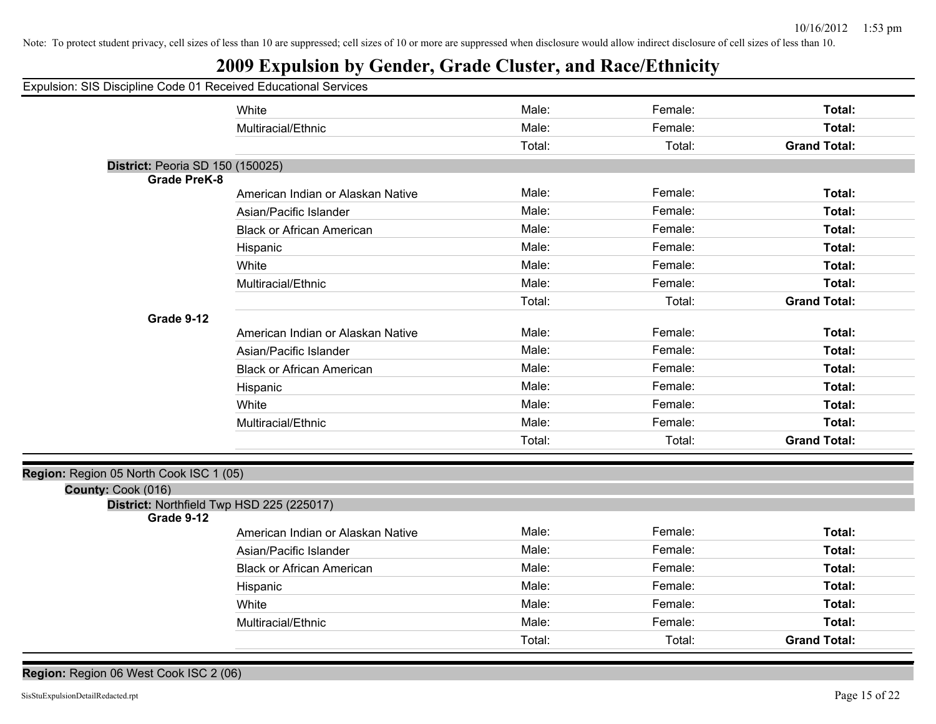## **2009 Expulsion by Gender, Grade Cluster, and Race/Ethnicity**

| Expulsion: SIS Discipline Code 01 Received Educational Services |                                   |        |         |                     |
|-----------------------------------------------------------------|-----------------------------------|--------|---------|---------------------|
|                                                                 | White                             | Male:  | Female: | Total:              |
|                                                                 | Multiracial/Ethnic                | Male:  | Female: | Total:              |
|                                                                 |                                   | Total: | Total:  | <b>Grand Total:</b> |
| District: Peoria SD 150 (150025)                                |                                   |        |         |                     |
| <b>Grade PreK-8</b>                                             |                                   |        |         |                     |
|                                                                 | American Indian or Alaskan Native | Male:  | Female: | Total:              |
|                                                                 | Asian/Pacific Islander            | Male:  | Female: | Total:              |
|                                                                 | <b>Black or African American</b>  | Male:  | Female: | Total:              |
|                                                                 | Hispanic                          | Male:  | Female: | Total:              |
|                                                                 | White                             | Male:  | Female: | Total:              |
|                                                                 | Multiracial/Ethnic                | Male:  | Female: | Total:              |
|                                                                 |                                   | Total: | Total:  | <b>Grand Total:</b> |
| Grade 9-12                                                      |                                   |        |         |                     |
|                                                                 | American Indian or Alaskan Native | Male:  | Female: | Total:              |
|                                                                 | Asian/Pacific Islander            | Male:  | Female: | Total:              |
|                                                                 | <b>Black or African American</b>  | Male:  | Female: | Total:              |
|                                                                 | Hispanic                          | Male:  | Female: | Total:              |
|                                                                 | White                             | Male:  | Female: | Total:              |
|                                                                 | Multiracial/Ethnic                | Male:  | Female: | Total:              |
|                                                                 |                                   | Total: | Total:  | <b>Grand Total:</b> |
|                                                                 |                                   |        |         |                     |
| Region: Region 05 North Cook ISC 1 (05)                         |                                   |        |         |                     |
| County: Cook (016)                                              |                                   |        |         |                     |
| District: Northfield Twp HSD 225 (225017)<br>Grade 9-12         |                                   |        |         |                     |
|                                                                 | American Indian or Alaskan Native | Male:  | Female: | Total:              |
|                                                                 | Asian/Pacific Islander            | Male:  | Female: | Total:              |
|                                                                 | <b>Black or African American</b>  | Male:  | Female: | Total:              |
|                                                                 | Hispanic                          | Male:  | Female: | Total:              |
|                                                                 | White                             | Male:  | Female: | Total:              |
|                                                                 | Multiracial/Ethnic                | Male:  | Female: | Total:              |
|                                                                 |                                   | Total: | Total:  | <b>Grand Total:</b> |
|                                                                 |                                   |        |         |                     |

#### **Region:** Region 06 West Cook ISC 2 (06)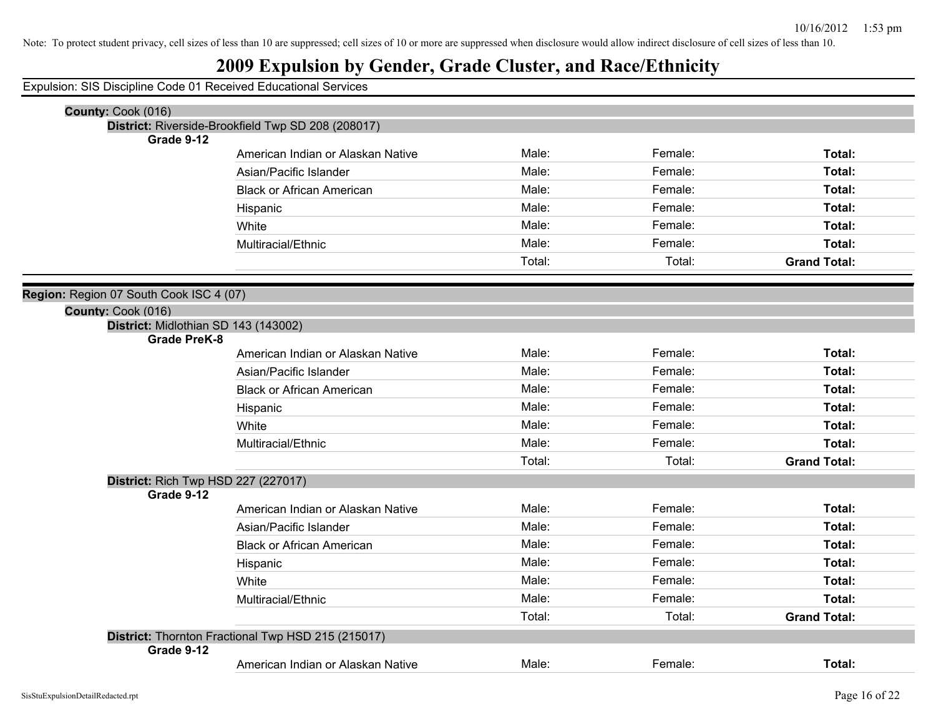### **2009 Expulsion by Gender, Grade Cluster, and Race/Ethnicity**

Expulsion: SIS Discipline Code 01 Received Educational Services

| County: Cook (016)                      |                                                    |        |         |                     |
|-----------------------------------------|----------------------------------------------------|--------|---------|---------------------|
|                                         | District: Riverside-Brookfield Twp SD 208 (208017) |        |         |                     |
| Grade 9-12                              |                                                    |        |         |                     |
|                                         | American Indian or Alaskan Native                  | Male:  | Female: | Total:              |
|                                         | Asian/Pacific Islander                             | Male:  | Female: | Total:              |
|                                         | <b>Black or African American</b>                   | Male:  | Female: | Total:              |
|                                         | Hispanic                                           | Male:  | Female: | Total:              |
|                                         | White                                              | Male:  | Female: | Total:              |
|                                         | Multiracial/Ethnic                                 | Male:  | Female: | Total:              |
|                                         |                                                    | Total: | Total:  | <b>Grand Total:</b> |
|                                         |                                                    |        |         |                     |
| Region: Region 07 South Cook ISC 4 (07) |                                                    |        |         |                     |
| County: Cook (016)                      |                                                    |        |         |                     |
| District: Midlothian SD 143 (143002)    |                                                    |        |         |                     |
| <b>Grade PreK-8</b>                     |                                                    | Male:  | Female: | Total:              |
|                                         | American Indian or Alaskan Native                  |        |         |                     |
|                                         | Asian/Pacific Islander                             | Male:  | Female: | Total:              |
|                                         | <b>Black or African American</b>                   | Male:  | Female: | Total:              |
|                                         | Hispanic                                           | Male:  | Female: | Total:              |
|                                         | White                                              | Male:  | Female: | Total:              |
|                                         | Multiracial/Ethnic                                 | Male:  | Female: | Total:              |
|                                         |                                                    | Total: | Total:  | <b>Grand Total:</b> |
| District: Rich Twp HSD 227 (227017)     |                                                    |        |         |                     |
| Grade 9-12                              |                                                    |        |         |                     |
|                                         | American Indian or Alaskan Native                  | Male:  | Female: | Total:              |
|                                         | Asian/Pacific Islander                             | Male:  | Female: | Total:              |
|                                         | <b>Black or African American</b>                   | Male:  | Female: | Total:              |
|                                         | Hispanic                                           | Male:  | Female: | Total:              |
|                                         | White                                              | Male:  | Female: | Total:              |
|                                         | Multiracial/Ethnic                                 | Male:  | Female: | Total:              |
|                                         |                                                    | Total: | Total:  | <b>Grand Total:</b> |
|                                         | District: Thornton Fractional Twp HSD 215 (215017) |        |         |                     |
| Grade 9-12                              |                                                    |        |         |                     |
|                                         | American Indian or Alaskan Native                  | Male:  | Female: | Total:              |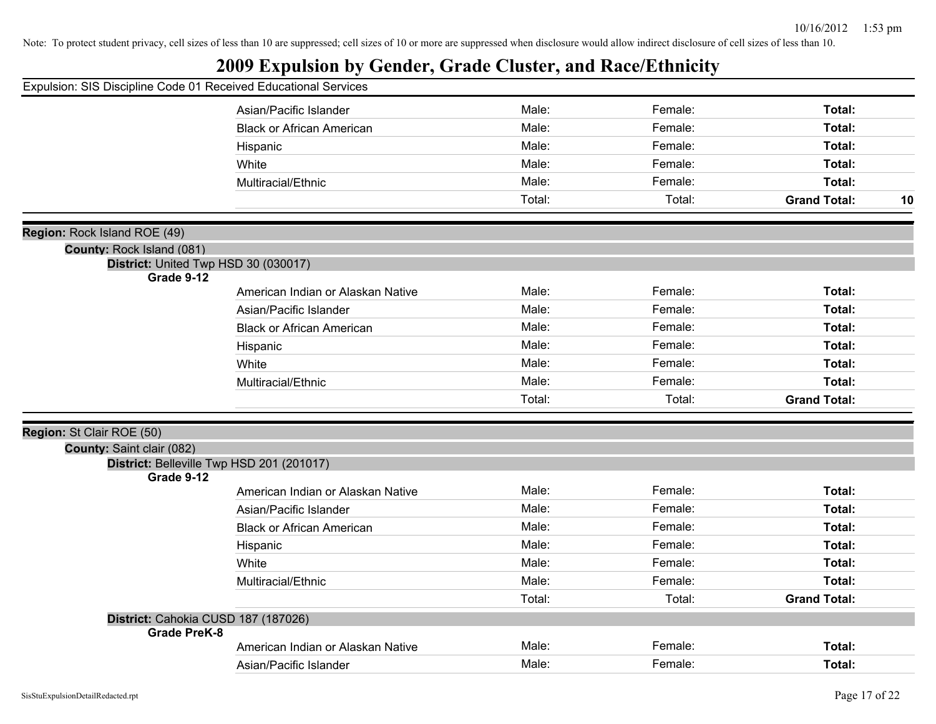| Expulsion: SIS Discipline Code 01 Received Educational Services |                                           |        |         |                     |    |
|-----------------------------------------------------------------|-------------------------------------------|--------|---------|---------------------|----|
|                                                                 | Asian/Pacific Islander                    | Male:  | Female: | Total:              |    |
|                                                                 | <b>Black or African American</b>          | Male:  | Female: | Total:              |    |
|                                                                 | Hispanic                                  | Male:  | Female: | Total:              |    |
|                                                                 | White                                     | Male:  | Female: | Total:              |    |
|                                                                 | Multiracial/Ethnic                        | Male:  | Female: | Total:              |    |
|                                                                 |                                           | Total: | Total:  | <b>Grand Total:</b> | 10 |
|                                                                 |                                           |        |         |                     |    |
| Region: Rock Island ROE (49)                                    |                                           |        |         |                     |    |
| County: Rock Island (081)                                       |                                           |        |         |                     |    |
| Grade 9-12                                                      | District: United Twp HSD 30 (030017)      |        |         |                     |    |
|                                                                 | American Indian or Alaskan Native         | Male:  | Female: | Total:              |    |
|                                                                 | Asian/Pacific Islander                    | Male:  | Female: | Total:              |    |
|                                                                 | <b>Black or African American</b>          | Male:  | Female: | Total:              |    |
|                                                                 | Hispanic                                  | Male:  | Female: | Total:              |    |
|                                                                 | White                                     | Male:  | Female: | Total:              |    |
|                                                                 | Multiracial/Ethnic                        | Male:  | Female: | Total:              |    |
|                                                                 |                                           | Total: | Total:  | <b>Grand Total:</b> |    |
|                                                                 |                                           |        |         |                     |    |
| Region: St Clair ROE (50)                                       |                                           |        |         |                     |    |
| County: Saint clair (082)                                       |                                           |        |         |                     |    |
|                                                                 | District: Belleville Twp HSD 201 (201017) |        |         |                     |    |
| Grade 9-12                                                      |                                           | Male:  | Female: | Total:              |    |
|                                                                 | American Indian or Alaskan Native         | Male:  | Female: |                     |    |
|                                                                 | Asian/Pacific Islander                    |        |         | Total:              |    |
|                                                                 | <b>Black or African American</b>          | Male:  | Female: | Total:              |    |
|                                                                 | Hispanic                                  | Male:  | Female: | Total:              |    |
|                                                                 | White                                     | Male:  | Female: | Total:              |    |
|                                                                 | Multiracial/Ethnic                        | Male:  | Female: | Total:              |    |
|                                                                 |                                           | Total: | Total:  | <b>Grand Total:</b> |    |
|                                                                 | District: Cahokia CUSD 187 (187026)       |        |         |                     |    |
| <b>Grade PreK-8</b>                                             | American Indian or Alaskan Native         | Male:  | Female: | Total:              |    |
|                                                                 |                                           | Male:  | Female: | Total:              |    |
|                                                                 | Asian/Pacific Islander                    |        |         |                     |    |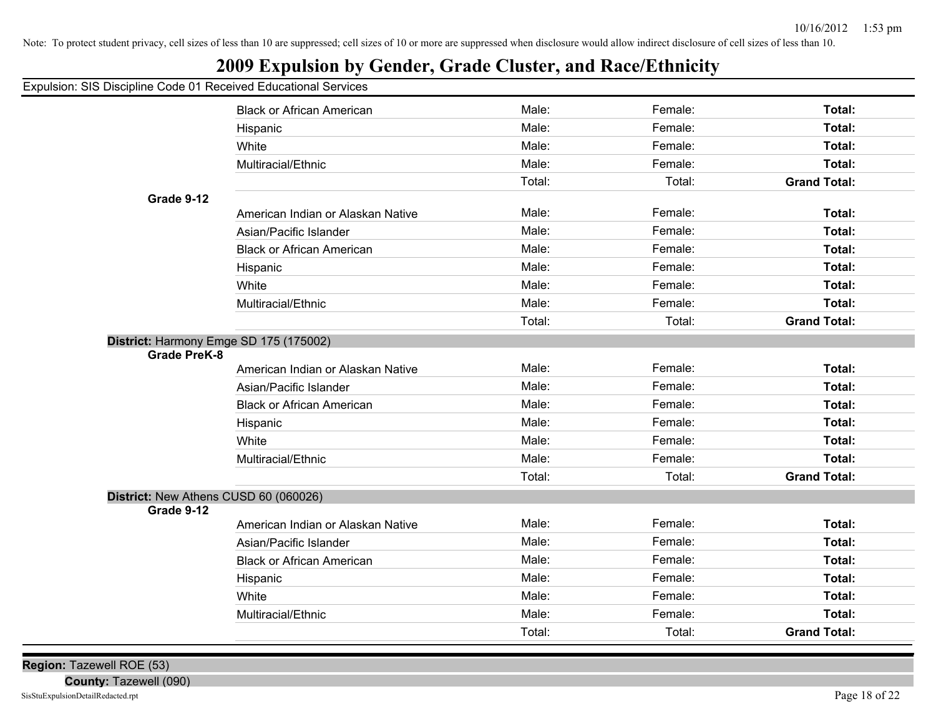### **2009 Expulsion by Gender, Grade Cluster, and Race/Ethnicity**

|                                                     | <b>Black or African American</b>       | Male:  | Female: | Total:              |
|-----------------------------------------------------|----------------------------------------|--------|---------|---------------------|
|                                                     | Hispanic                               | Male:  | Female: | Total:              |
|                                                     | White                                  | Male:  | Female: | Total:              |
|                                                     | Multiracial/Ethnic                     | Male:  | Female: | Total:              |
|                                                     |                                        | Total: | Total:  | <b>Grand Total:</b> |
| Grade 9-12                                          |                                        |        |         |                     |
|                                                     | American Indian or Alaskan Native      | Male:  | Female: | Total:              |
|                                                     | Asian/Pacific Islander                 | Male:  | Female: | Total:              |
|                                                     | <b>Black or African American</b>       | Male:  | Female: | Total:              |
|                                                     | Hispanic                               | Male:  | Female: | Total:              |
|                                                     | White                                  | Male:  | Female: | Total:              |
|                                                     | Multiracial/Ethnic                     | Male:  | Female: | Total:              |
|                                                     |                                        | Total: | Total:  | <b>Grand Total:</b> |
| <b>Grade PreK-8</b>                                 | District: Harmony Emge SD 175 (175002) |        |         |                     |
|                                                     | American Indian or Alaskan Native      | Male:  | Female: | Total:              |
|                                                     | Asian/Pacific Islander                 | Male:  | Female: | Total:              |
|                                                     | <b>Black or African American</b>       | Male:  | Female: | <b>Total:</b>       |
|                                                     | Hispanic                               | Male:  | Female: | Total:              |
|                                                     | White                                  | Male:  | Female: | Total:              |
|                                                     | Multiracial/Ethnic                     | Male:  | Female: | Total:              |
|                                                     |                                        | Total: | Total:  | <b>Grand Total:</b> |
| District: New Athens CUSD 60 (060026)<br>Grade 9-12 |                                        |        |         |                     |
|                                                     | American Indian or Alaskan Native      | Male:  | Female: | Total:              |
|                                                     | Asian/Pacific Islander                 | Male:  | Female: | <b>Total:</b>       |
|                                                     | <b>Black or African American</b>       | Male:  | Female: | Total:              |
|                                                     | Hispanic                               | Male:  | Female: | Total:              |
|                                                     | White                                  | Male:  | Female: | Total:              |
|                                                     |                                        | Male:  | Female: | Total:              |
|                                                     | Multiracial/Ethnic                     |        |         |                     |

**Region:** Tazewell ROE (53)

**County:** Tazewell (090)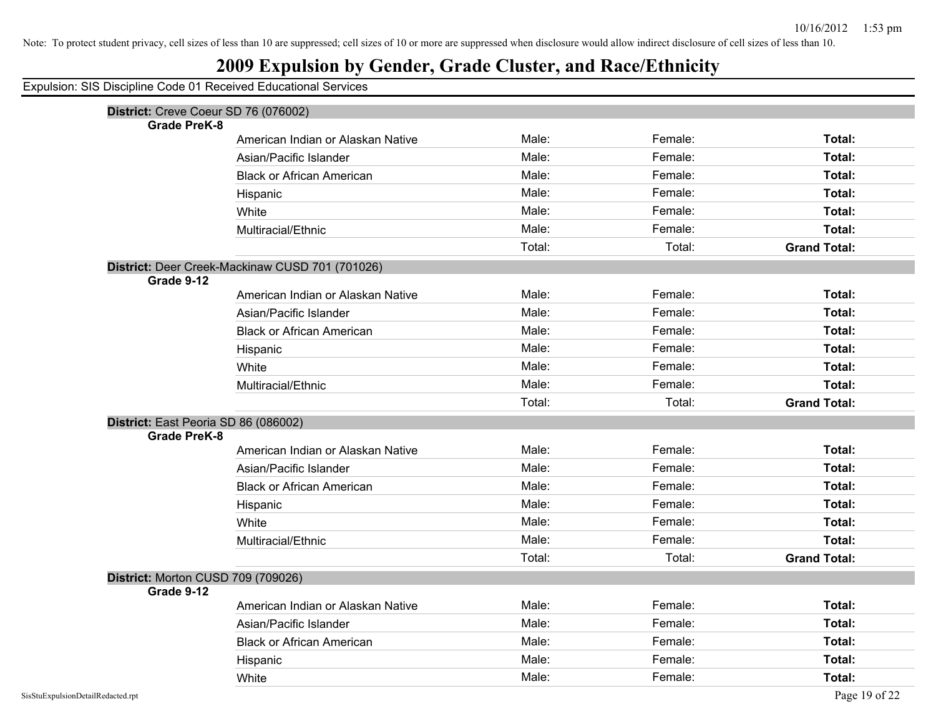|            | Expulsion: SIS Discipline Code 01 Received Educational Services |        |         |                               |
|------------|-----------------------------------------------------------------|--------|---------|-------------------------------|
|            | District: Creve Coeur SD 76 (076002)                            |        |         |                               |
|            | <b>Grade PreK-8</b><br>American Indian or Alaskan Native        | Male:  | Female: | Total:                        |
|            | Asian/Pacific Islander                                          | Male:  | Female: | Total:                        |
|            | <b>Black or African American</b>                                | Male:  | Female: | Total:                        |
|            | Hispanic                                                        | Male:  | Female: | Total:                        |
|            | White                                                           | Male:  | Female: | Total:                        |
|            | Multiracial/Ethnic                                              | Male:  | Female: | Total:                        |
|            |                                                                 | Total: | Total:  | <b>Grand Total:</b>           |
|            | District: Deer Creek-Mackinaw CUSD 701 (701026)                 |        |         |                               |
| Grade 9-12 |                                                                 |        |         |                               |
|            | American Indian or Alaskan Native                               | Male:  | Female: | Total:                        |
|            | Asian/Pacific Islander                                          | Male:  | Female: | Total:                        |
|            | <b>Black or African American</b>                                | Male:  | Female: | Total:                        |
|            | Hispanic                                                        | Male:  | Female: | Total:                        |
|            | White                                                           | Male:  | Female: | Total:                        |
|            | Multiracial/Ethnic                                              | Male:  | Female: | Total:                        |
|            |                                                                 | Total: | Total:  | <b>Grand Total:</b>           |
|            | District: East Peoria SD 86 (086002)                            |        |         |                               |
|            | <b>Grade PreK-8</b>                                             | Male:  | Female: | Total:                        |
|            | American Indian or Alaskan Native                               | Male:  | Female: | Total:                        |
|            | Asian/Pacific Islander                                          | Male:  | Female: | Total:                        |
|            | <b>Black or African American</b>                                | Male:  | Female: | Total:                        |
|            | Hispanic                                                        | Male:  | Female: |                               |
|            | White                                                           | Male:  | Female: | Total:                        |
|            | Multiracial/Ethnic                                              | Total: | Total:  | Total:<br><b>Grand Total:</b> |
|            |                                                                 |        |         |                               |
| Grade 9-12 | District: Morton CUSD 709 (709026)                              |        |         |                               |
|            | American Indian or Alaskan Native                               | Male:  | Female: | Total:                        |
|            | Asian/Pacific Islander                                          | Male:  | Female: | Total:                        |
|            | <b>Black or African American</b>                                | Male:  | Female: | Total:                        |
|            | Hispanic                                                        | Male:  | Female: | Total:                        |
|            | White                                                           | Male:  | Female: | Total:                        |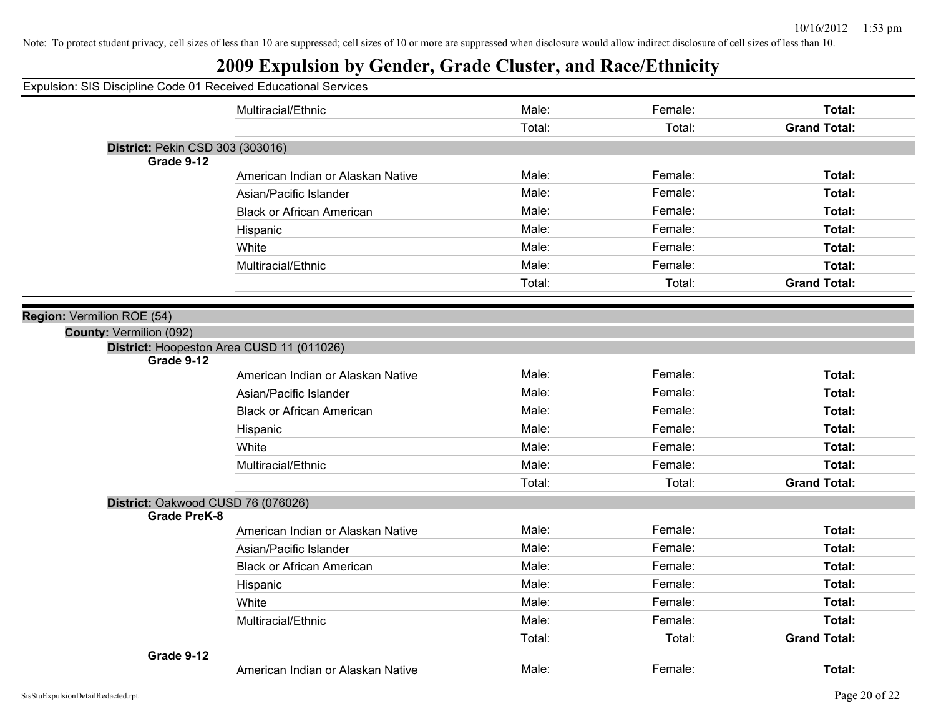| Expulsion: SIS Discipline Code 01 Received Educational Services |                                   |        |         |                     |
|-----------------------------------------------------------------|-----------------------------------|--------|---------|---------------------|
|                                                                 |                                   |        |         |                     |
|                                                                 | Multiracial/Ethnic                | Male:  | Female: | Total:              |
|                                                                 |                                   | Total: | Total:  | <b>Grand Total:</b> |
| District: Pekin CSD 303 (303016)                                |                                   |        |         |                     |
| Grade 9-12                                                      |                                   |        |         |                     |
|                                                                 | American Indian or Alaskan Native | Male:  | Female: | Total:              |
|                                                                 | Asian/Pacific Islander            | Male:  | Female: | Total:              |
|                                                                 | <b>Black or African American</b>  | Male:  | Female: | Total:              |
|                                                                 | Hispanic                          | Male:  | Female: | Total:              |
|                                                                 | White                             | Male:  | Female: | Total:              |
|                                                                 | Multiracial/Ethnic                | Male:  | Female: | Total:              |
|                                                                 |                                   | Total: | Total:  | <b>Grand Total:</b> |
|                                                                 |                                   |        |         |                     |
| Region: Vermilion ROE (54)                                      |                                   |        |         |                     |
| County: Vermilion (092)                                         |                                   |        |         |                     |
| District: Hoopeston Area CUSD 11 (011026)                       |                                   |        |         |                     |
| Grade 9-12                                                      | American Indian or Alaskan Native | Male:  | Female: | Total:              |
|                                                                 | Asian/Pacific Islander            | Male:  | Female: | Total:              |
|                                                                 |                                   |        |         |                     |
|                                                                 | <b>Black or African American</b>  | Male:  | Female: | Total:              |
|                                                                 | Hispanic                          | Male:  | Female: | Total:              |
|                                                                 | White                             | Male:  | Female: | Total:              |
|                                                                 | Multiracial/Ethnic                | Male:  | Female: | Total:              |
|                                                                 |                                   | Total: | Total:  | <b>Grand Total:</b> |
| District: Oakwood CUSD 76 (076026)                              |                                   |        |         |                     |
| <b>Grade PreK-8</b>                                             |                                   |        |         |                     |
|                                                                 | American Indian or Alaskan Native | Male:  | Female: | Total:              |
|                                                                 | Asian/Pacific Islander            | Male:  | Female: | Total:              |
|                                                                 | <b>Black or African American</b>  | Male:  | Female: | Total:              |
|                                                                 | Hispanic                          | Male:  | Female: | Total:              |
|                                                                 | White                             | Male:  | Female: | Total:              |
|                                                                 | Multiracial/Ethnic                | Male:  | Female: | Total:              |
|                                                                 |                                   | Total: | Total:  | <b>Grand Total:</b> |
| Grade 9-12                                                      |                                   |        |         |                     |
|                                                                 | American Indian or Alaskan Native | Male:  | Female: | Total:              |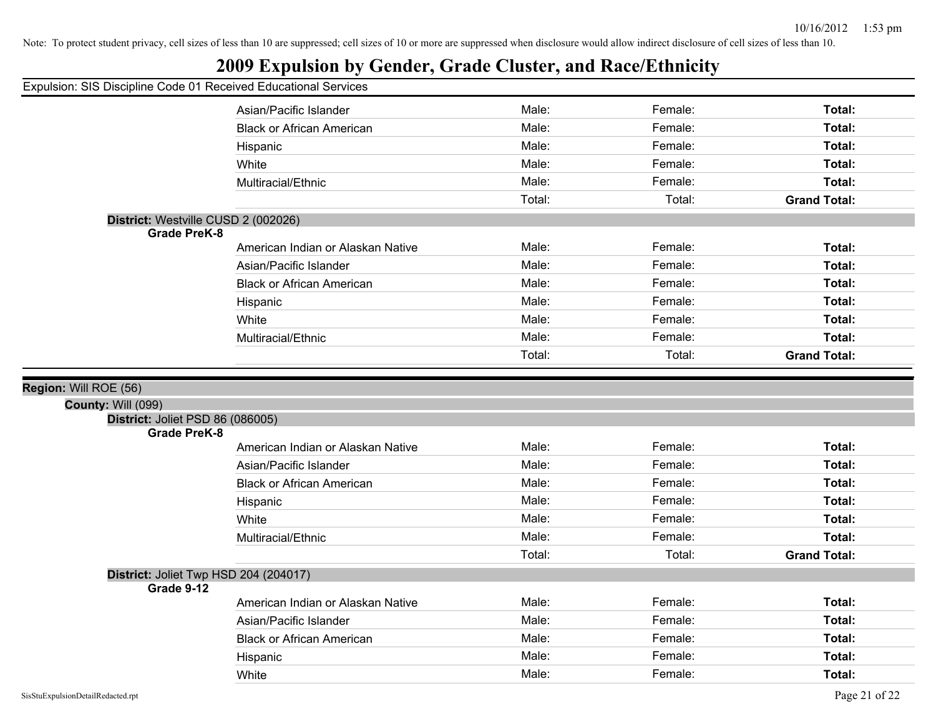|  |  |  |  | Expulsion: SIS Discipline Code 01 Received Educational Services |  |
|--|--|--|--|-----------------------------------------------------------------|--|
|  |  |  |  |                                                                 |  |

|                                                         | Asian/Pacific Islander            | Male:  | Female: | Total:              |
|---------------------------------------------------------|-----------------------------------|--------|---------|---------------------|
|                                                         | <b>Black or African American</b>  | Male:  | Female: | Total:              |
|                                                         | Hispanic                          | Male:  | Female: | Total:              |
|                                                         | White                             | Male:  | Female: | Total:              |
|                                                         | Multiracial/Ethnic                | Male:  | Female: | Total:              |
|                                                         |                                   | Total: | Total:  | <b>Grand Total:</b> |
| District: Westville CUSD 2 (002026)                     |                                   |        |         |                     |
| <b>Grade PreK-8</b>                                     |                                   |        |         |                     |
|                                                         | American Indian or Alaskan Native | Male:  | Female: | Total:              |
|                                                         | Asian/Pacific Islander            | Male:  | Female: | Total:              |
|                                                         | <b>Black or African American</b>  | Male:  | Female: | Total:              |
|                                                         | Hispanic                          | Male:  | Female: | Total:              |
|                                                         | White                             | Male:  | Female: | Total:              |
|                                                         | Multiracial/Ethnic                | Male:  | Female: | Total:              |
|                                                         |                                   | Total: | Total:  | <b>Grand Total:</b> |
|                                                         |                                   |        |         |                     |
| Region: Will ROE (56)                                   |                                   |        |         |                     |
| <b>County: Will (099)</b>                               |                                   |        |         |                     |
| District: Joliet PSD 86 (086005)<br><b>Grade PreK-8</b> |                                   |        |         |                     |
|                                                         | American Indian or Alaskan Native | Male:  | Female: | Total:              |
|                                                         | Asian/Pacific Islander            | Male:  | Female: | Total:              |
|                                                         | <b>Black or African American</b>  | Male:  | Female: | Total:              |
|                                                         | Hispanic                          | Male:  | Female: | Total:              |
|                                                         | White                             | Male:  | Female: | Total:              |
|                                                         | Multiracial/Ethnic                | Male:  | Female: | Total:              |
|                                                         |                                   | Total: | Total:  | <b>Grand Total:</b> |
| District: Joliet Twp HSD 204 (204017)                   |                                   |        |         |                     |
| Grade 9-12                                              |                                   |        |         |                     |
|                                                         | American Indian or Alaskan Native | Male:  | Female: | Total:              |
|                                                         | Asian/Pacific Islander            | Male:  | Female: | Total:              |
|                                                         | <b>Black or African American</b>  | Male:  | Female: | Total:              |
|                                                         |                                   |        |         |                     |
|                                                         | Hispanic                          | Male:  | Female: | Total:              |